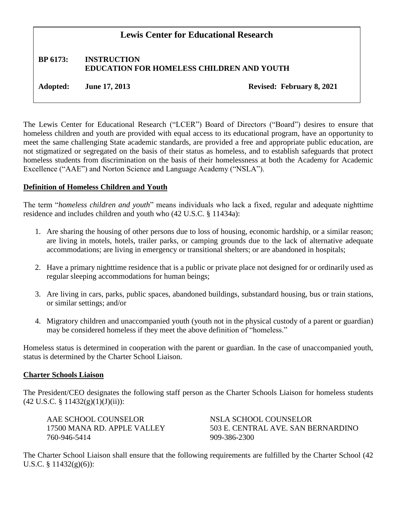# **Lewis Center for Educational Research**

# **BP 6173: INSTRUCTION EDUCATION FOR HOMELESS CHILDREN AND YOUTH**

**Adopted: June 17, 2013 Revised: February 8, 2021**

The Lewis Center for Educational Research ("LCER") Board of Directors ("Board") desires to ensure that homeless children and youth are provided with equal access to its educational program, have an opportunity to meet the same challenging State academic standards, are provided a free and appropriate public education, are not stigmatized or segregated on the basis of their status as homeless, and to establish safeguards that protect homeless students from discrimination on the basis of their homelessness at both the Academy for Academic Excellence ("AAE") and Norton Science and Language Academy ("NSLA").

### **Definition of Homeless Children and Youth**

The term "*homeless children and youth*" means individuals who lack a fixed, regular and adequate nighttime residence and includes children and youth who (42 U.S.C. § 11434a):

- 1. Are sharing the housing of other persons due to loss of housing, economic hardship, or a similar reason; are living in motels, hotels, trailer parks, or camping grounds due to the lack of alternative adequate accommodations; are living in emergency or transitional shelters; or are abandoned in hospitals;
- 2. Have a primary nighttime residence that is a public or private place not designed for or ordinarily used as regular sleeping accommodations for human beings;
- 3. Are living in cars, parks, public spaces, abandoned buildings, substandard housing, bus or train stations, or similar settings; and/or
- 4. Migratory children and unaccompanied youth (youth not in the physical custody of a parent or guardian) may be considered homeless if they meet the above definition of "homeless."

Homeless status is determined in cooperation with the parent or guardian. In the case of unaccompanied youth, status is determined by the Charter School Liaison.

#### **Charter Schools Liaison**

The President/CEO designates the following staff person as the Charter Schools Liaison for homeless students  $(42 \text{ U.S.C. } § 11432(g)(1)(J)(ii))$ :

AAE SCHOOL COUNSELOR NSLA SCHOOL COUNSELOR 760-946-5414 909-386-2300

17500 MANA RD. APPLE VALLEY 503 E. CENTRAL AVE. SAN BERNARDINO

The Charter School Liaison shall ensure that the following requirements are fulfilled by the Charter School (42 U.S.C. § 11432(g)(6)):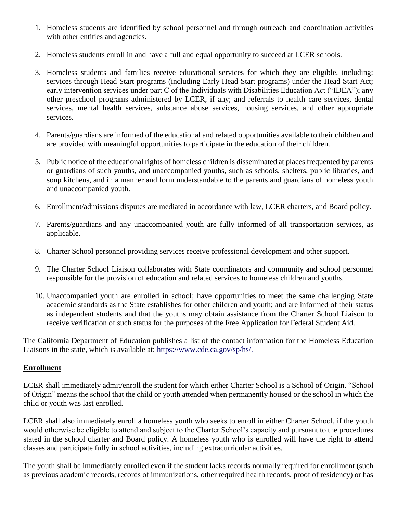- 1. Homeless students are identified by school personnel and through outreach and coordination activities with other entities and agencies.
- 2. Homeless students enroll in and have a full and equal opportunity to succeed at LCER schools.
- 3. Homeless students and families receive educational services for which they are eligible, including: services through Head Start programs (including Early Head Start programs) under the Head Start Act; early intervention services under part C of the Individuals with Disabilities Education Act ("IDEA"); any other preschool programs administered by LCER, if any; and referrals to health care services, dental services, mental health services, substance abuse services, housing services, and other appropriate services.
- 4. Parents/guardians are informed of the educational and related opportunities available to their children and are provided with meaningful opportunities to participate in the education of their children.
- 5. Public notice of the educational rights of homeless children is disseminated at places frequented by parents or guardians of such youths, and unaccompanied youths, such as schools, shelters, public libraries, and soup kitchens, and in a manner and form understandable to the parents and guardians of homeless youth and unaccompanied youth.
- 6. Enrollment/admissions disputes are mediated in accordance with law, LCER charters, and Board policy.
- 7. Parents/guardians and any unaccompanied youth are fully informed of all transportation services, as applicable.
- 8. Charter School personnel providing services receive professional development and other support.
- 9. The Charter School Liaison collaborates with State coordinators and community and school personnel responsible for the provision of education and related services to homeless children and youths.
- 10. Unaccompanied youth are enrolled in school; have opportunities to meet the same challenging State academic standards as the State establishes for other children and youth; and are informed of their status as independent students and that the youths may obtain assistance from the Charter School Liaison to receive verification of such status for the purposes of the Free Application for Federal Student Aid.

The California Department of Education publishes a list of the contact information for the Homeless Education Liaisons in the state, which is available at: [https://www.cde.ca.gov/sp/hs/.](https://www.cde.ca.gov/sp/hs/)

# **Enrollment**

LCER shall immediately admit/enroll the student for which either Charter School is a School of Origin. "School of Origin" means the school that the child or youth attended when permanently housed or the school in which the child or youth was last enrolled.

LCER shall also immediately enroll a homeless youth who seeks to enroll in either Charter School, if the youth would otherwise be eligible to attend and subject to the Charter School's capacity and pursuant to the procedures stated in the school charter and Board policy. A homeless youth who is enrolled will have the right to attend classes and participate fully in school activities, including extracurricular activities.

The youth shall be immediately enrolled even if the student lacks records normally required for enrollment (such as previous academic records, records of immunizations, other required health records, proof of residency) or has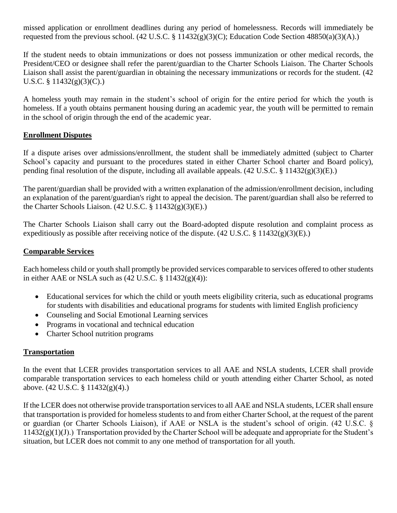missed application or enrollment deadlines during any period of homelessness. Records will immediately be requested from the previous school. (42 U.S.C. § 11432(g)(3)(C); Education Code Section 48850(a)(3)(A).)

If the student needs to obtain immunizations or does not possess immunization or other medical records, the President/CEO or designee shall refer the parent/guardian to the Charter Schools Liaison. The Charter Schools Liaison shall assist the parent/guardian in obtaining the necessary immunizations or records for the student. (42 U.S.C. §  $11432(g)(3)(C)$ .

A homeless youth may remain in the student's school of origin for the entire period for which the youth is homeless. If a youth obtains permanent housing during an academic year, the youth will be permitted to remain in the school of origin through the end of the academic year.

# **Enrollment Disputes**

If a dispute arises over admissions/enrollment, the student shall be immediately admitted (subject to Charter School's capacity and pursuant to the procedures stated in either Charter School charter and Board policy), pending final resolution of the dispute, including all available appeals. (42 U.S.C. § 11432(g)(3)(E).)

The parent/guardian shall be provided with a written explanation of the admission/enrollment decision, including an explanation of the parent/guardian's right to appeal the decision. The parent/guardian shall also be referred to the Charter Schools Liaison.  $(42 \text{ U.S.C.} \S 11432(g)(3)(E))$ .

The Charter Schools Liaison shall carry out the Board-adopted dispute resolution and complaint process as expeditiously as possible after receiving notice of the dispute.  $(42 \text{ U.S.C.} \text{ § } 11432(g)(3)(E))$ .

# **Comparable Services**

Each homeless child or youth shall promptly be provided services comparable to services offered to other students in either AAE or NSLA such as  $(42 \text{ U.S.C.} \frac{8}{3} 11432(g)(4))$ :

- Educational services for which the child or youth meets eligibility criteria, such as educational programs for students with disabilities and educational programs for students with limited English proficiency
- Counseling and Social Emotional Learning services
- Programs in vocational and technical education
- Charter School nutrition programs

# **Transportation**

In the event that LCER provides transportation services to all AAE and NSLA students, LCER shall provide comparable transportation services to each homeless child or youth attending either Charter School, as noted above. (42 U.S.C. § 11432(g)(4).)

If the LCER does not otherwise provide transportation services to all AAE and NSLA students, LCER shall ensure that transportation is provided for homeless students to and from either Charter School, at the request of the parent or guardian (or Charter Schools Liaison), if AAE or NSLA is the student's school of origin. (42 U.S.C. §  $11432(g)(1)(J)$ .) Transportation provided by the Charter School will be adequate and appropriate for the Student's situation, but LCER does not commit to any one method of transportation for all youth.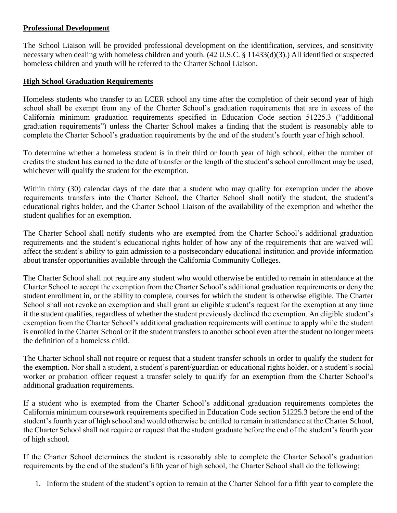### **Professional Development**

The School Liaison will be provided professional development on the identification, services, and sensitivity necessary when dealing with homeless children and youth. (42 U.S.C. § 11433(d)(3).) All identified or suspected homeless children and youth will be referred to the Charter School Liaison.

### **High School Graduation Requirements**

Homeless students who transfer to an LCER school any time after the completion of their second year of high school shall be exempt from any of the Charter School's graduation requirements that are in excess of the California minimum graduation requirements specified in Education Code section 51225.3 ("additional graduation requirements") unless the Charter School makes a finding that the student is reasonably able to complete the Charter School's graduation requirements by the end of the student's fourth year of high school.

To determine whether a homeless student is in their third or fourth year of high school, either the number of credits the student has earned to the date of transfer or the length of the student's school enrollment may be used, whichever will qualify the student for the exemption.

Within thirty (30) calendar days of the date that a student who may qualify for exemption under the above requirements transfers into the Charter School, the Charter School shall notify the student, the student's educational rights holder, and the Charter School Liaison of the availability of the exemption and whether the student qualifies for an exemption.

The Charter School shall notify students who are exempted from the Charter School's additional graduation requirements and the student's educational rights holder of how any of the requirements that are waived will affect the student's ability to gain admission to a postsecondary educational institution and provide information about transfer opportunities available through the California Community Colleges.

The Charter School shall not require any student who would otherwise be entitled to remain in attendance at the Charter School to accept the exemption from the Charter School's additional graduation requirements or deny the student enrollment in, or the ability to complete, courses for which the student is otherwise eligible. The Charter School shall not revoke an exemption and shall grant an eligible student's request for the exemption at any time if the student qualifies, regardless of whether the student previously declined the exemption. An eligible student's exemption from the Charter School's additional graduation requirements will continue to apply while the student is enrolled in the Charter School or if the student transfers to another school even after the student no longer meets the definition of a homeless child.

The Charter School shall not require or request that a student transfer schools in order to qualify the student for the exemption. Nor shall a student, a student's parent/guardian or educational rights holder, or a student's social worker or probation officer request a transfer solely to qualify for an exemption from the Charter School's additional graduation requirements.

If a student who is exempted from the Charter School's additional graduation requirements completes the California minimum coursework requirements specified in Education Code section 51225.3 before the end of the student's fourth year of high school and would otherwise be entitled to remain in attendance at the Charter School, the Charter School shall not require or request that the student graduate before the end of the student's fourth year of high school.

If the Charter School determines the student is reasonably able to complete the Charter School's graduation requirements by the end of the student's fifth year of high school, the Charter School shall do the following:

1. Inform the student of the student's option to remain at the Charter School for a fifth year to complete the